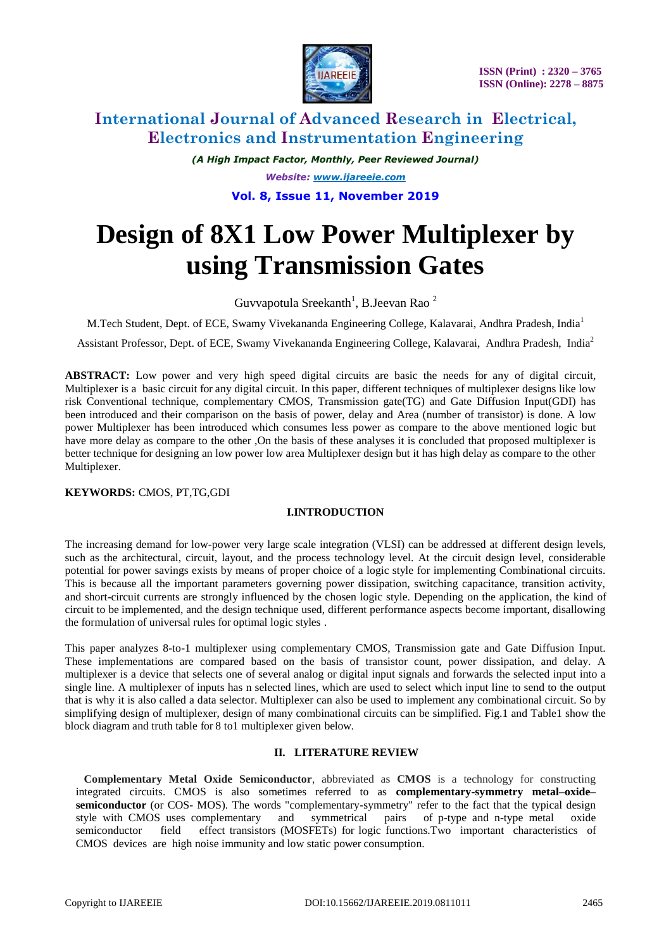

*(A High Impact Factor, Monthly, Peer Reviewed Journal) Website: [www.ijareeie.com](http://www.ijareeie.com/)* **Vol. 8, Issue 11, November 2019**

# **Design of 8X1 Low Power Multiplexer by using Transmission Gates**

Guvvapotula Sreekanth<sup>1</sup>, B.Jeevan Rao<sup>2</sup>

M.Tech Student, Dept. of ECE, Swamy Vivekananda Engineering College, Kalavarai, Andhra Pradesh, India<sup>1</sup>

Assistant Professor, Dept. of ECE, Swamy Vivekananda Engineering College, Kalavarai, Andhra Pradesh, India<sup>2</sup>

**ABSTRACT:** Low power and very high speed digital circuits are basic the needs for any of digital circuit, Multiplexer is a basic circuit for any digital circuit. In this paper, different techniques of multiplexer designs like low risk Conventional technique, complementary CMOS, Transmission gate(TG) and Gate Diffusion Input(GDI) has been introduced and their comparison on the basis of power, delay and Area (number of transistor) is done. A low power Multiplexer has been introduced which consumes less power as compare to the above mentioned logic but have more delay as compare to the other ,On the basis of these analyses it is concluded that proposed multiplexer is better technique for designing an low power low area Multiplexer design but it has high delay as compare to the other Multiplexer.

#### **KEYWORDS:** CMOS, PT,TG,GDI

#### **I.INTRODUCTION**

The increasing demand for low-power very large scale integration (VLSI) can be addressed at different design levels, such as the architectural, circuit, layout, and the process technology level. At the circuit design level, considerable potential for power savings exists by means of proper choice of a logic style for implementing Combinational circuits. This is because all the important parameters governing power dissipation, switching capacitance, transition activity, and short-circuit currents are strongly influenced by the chosen logic style. Depending on the application, the kind of circuit to be implemented, and the design technique used, different performance aspects become important, disallowing the formulation of universal rules for optimal logic styles .

This paper analyzes 8-to-1 multiplexer using complementary CMOS, Transmission gate and Gate Diffusion Input. These implementations are compared based on the basis of transistor count, power dissipation, and delay. A multiplexer is a device that selects one of several analog or digital input signals and forwards the selected input into a single line. A multiplexer of inputs has n selected lines, which are used to select which input line to send to the output that is why it is also called a data selector. Multiplexer can also be used to implement any combinational circuit. So by simplifying design of multiplexer, design of many combinational circuits can be simplified. Fig.1 and Table1 show the block diagram and truth table for 8 to1 multiplexer given below.

#### **II. LITERATURE REVIEW**

**Complementary Metal Oxide Semiconductor**, abbreviated as **CMOS** is a technology for constructing integrated circuits. CMOS is also sometimes referred to as **complementary-symmetry metal–oxide– semiconductor** (or COS- MOS). The words "complementary-symmetry" refer to the fact that the typical design style with CMOS uses complementary and symmetrical pairs of p-type and n-type metal oxide semiconductor field effect transistors (MOSFETs) for logic functions.Two important characteristics of CMOS devices are high noise immunity and low static power consumption.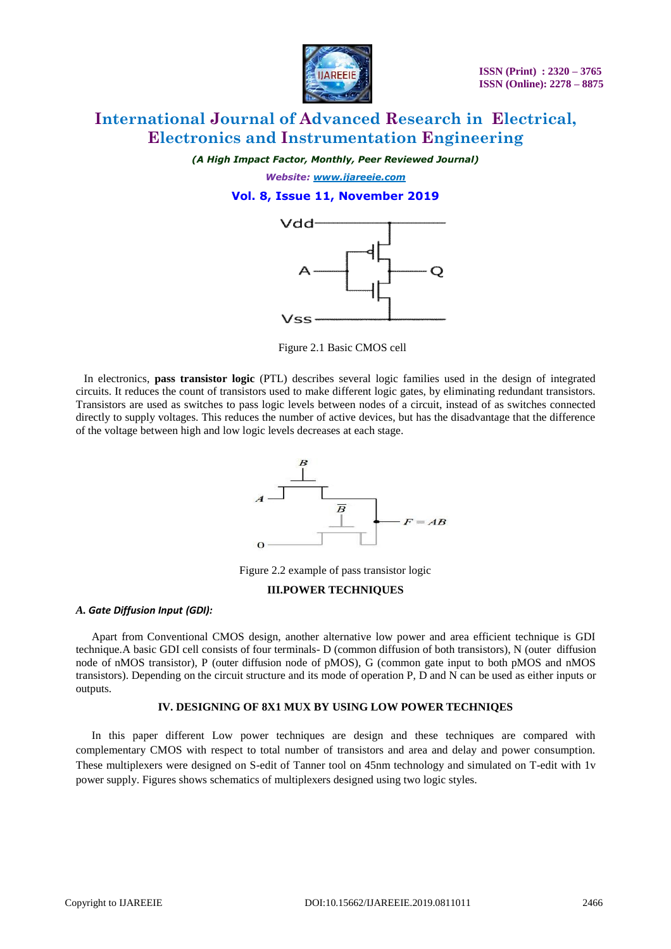

*(A High Impact Factor, Monthly, Peer Reviewed Journal)*

*Website: [www.ijareeie.com](http://www.ijareeie.com/)* **Vol. 8, Issue 11, November 2019**



Figure 2.1 Basic CMOS cell

In electronics, **pass transistor logic** (PTL) describes several logic families used in the design of integrated circuits. It reduces the count of transistors used to make different logic gates, by eliminating redundant transistors. Transistors are used as switches to pass logic levels between nodes of a circuit, instead of as switches connected directly to supply voltages. This reduces the number of active devices, but has the disadvantage that the difference of the voltage between high and low logic levels decreases at each stage.



Figure 2.2 example of pass transistor logic

#### **III.POWER TECHNIQUES**

#### *A. Gate Diffusion Input (GDI):*

Apart from Conventional CMOS design, another alternative low power and area efficient technique is GDI technique.A basic GDI cell consists of four terminals- D (common diffusion of both transistors), N (outer diffusion node of nMOS transistor), P (outer diffusion node of pMOS), G (common gate input to both pMOS and nMOS transistors). Depending on the circuit structure and its mode of operation P, D and N can be used as either inputs or outputs.

#### **IV. DESIGNING OF 8X1 MUX BY USING LOW POWER TECHNIQES**

In this paper different Low power techniques are design and these techniques are compared with complementary CMOS with respect to total number of transistors and area and delay and power consumption. These multiplexers were designed on S-edit of Tanner tool on 45nm technology and simulated on T-edit with 1v power supply. Figures shows schematics of multiplexers designed using two logic styles.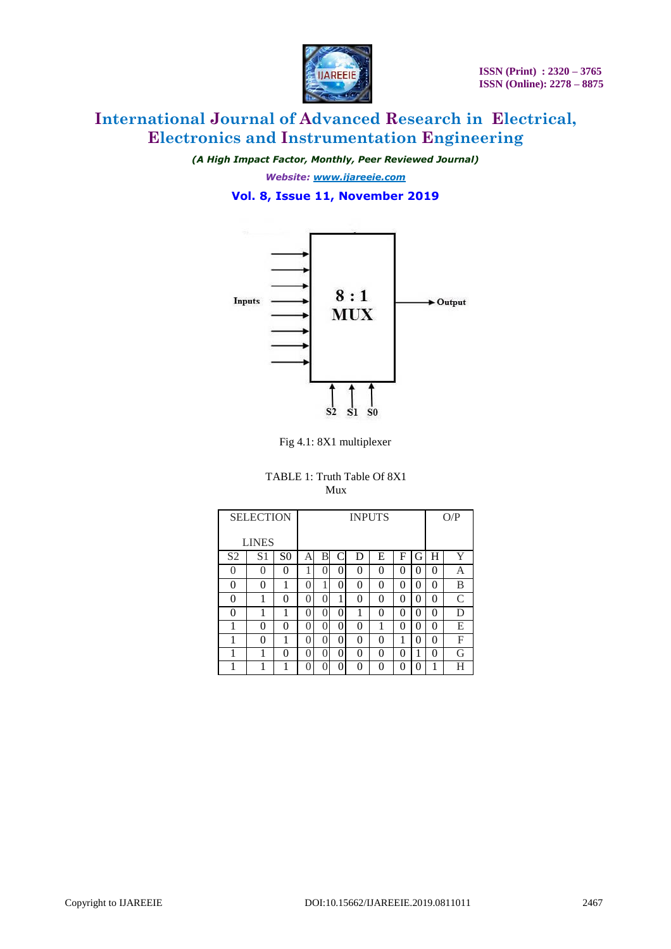

*(A High Impact Factor, Monthly, Peer Reviewed Journal)*

*Website: [www.ijareeie.com](http://www.ijareeie.com/)* **Vol. 8, Issue 11, November 2019**



Fig 4.1: 8X1 multiplexer

#### TABLE 1: Truth Table Of 8X1 Mux

|                | <b>SELECTION</b> |                |                  |   |   | O/P |   |   |          |   |   |
|----------------|------------------|----------------|------------------|---|---|-----|---|---|----------|---|---|
|                | <b>LINES</b>     |                |                  |   |   |     |   |   |          |   |   |
| S <sub>2</sub> | S <sub>1</sub>   | S <sub>0</sub> | А                | В |   | D   | Е | F | G        | H | Y |
| $\theta$       | 0                | $\theta$       |                  | 0 | 0 | 0   | 0 | 0 | 0        | 0 | А |
| 0              | 0                | 1              | 0                |   | 0 | 0   | 0 | 0 | 0        | 0 | B |
| 0              |                  | 0              | $\left( \right)$ | 0 | 1 | 0   | 0 | 0 | $\theta$ | 0 | C |
| 0              |                  | 1              | $\left( \right)$ | 0 | 0 |     | 0 | 0 | $\theta$ | 0 | D |
| 1              | $\mathbf{0}$     | 0              | $\left( \right)$ | 0 | 0 | 0   |   | 0 | 0        | 0 | Е |
| 1              | $\mathbf{0}$     | 1              | $\left( \right)$ | 0 | 0 | 0   | 0 | 1 | 0        | 0 | F |
| 1              |                  | 0              | $\left( \right)$ | 0 | 0 | 0   | 0 | 0 |          | 0 | G |
|                |                  |                |                  | ∩ | 0 | 0   | 0 | 0 | 0        |   | Н |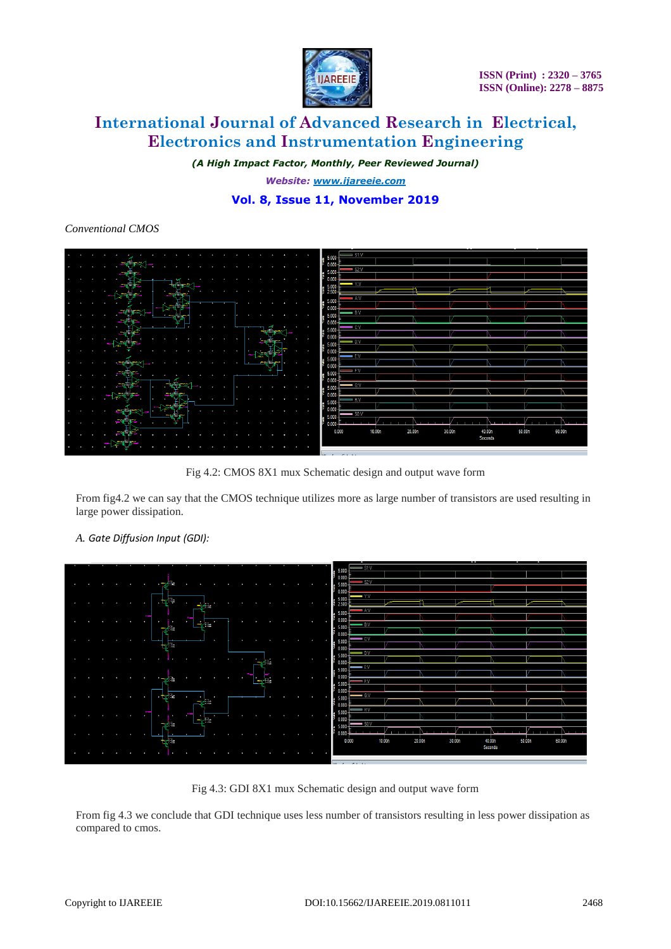

*(A High Impact Factor, Monthly, Peer Reviewed Journal)*

*Website: [www.ijareeie.com](http://www.ijareeie.com/)*

### **Vol. 8, Issue 11, November 2019**

#### *Conventional CMOS*

|  |  |     |   |    |  |  |    |   |      |   |  | $=$ S1:V                     |                    |        |  |        |        |  |         |        |        |
|--|--|-----|---|----|--|--|----|---|------|---|--|------------------------------|--------------------|--------|--|--------|--------|--|---------|--------|--------|
|  |  |     |   |    |  |  |    |   |      |   |  | $\frac{1}{2}$ 5.000          |                    |        |  |        |        |  |         |        |        |
|  |  |     |   |    |  |  |    |   |      |   |  |                              | $-$ S2:V           |        |  |        |        |  |         |        |        |
|  |  |     |   |    |  |  |    |   |      |   |  | $= 5.000$<br>90.000          |                    |        |  |        |        |  |         |        |        |
|  |  |     |   |    |  |  |    |   |      |   |  |                              | $- Y: V$           |        |  |        |        |  |         |        |        |
|  |  |     |   |    |  |  |    |   |      |   |  | $\frac{1}{5}$ 5.000          |                    |        |  |        |        |  |         |        |        |
|  |  |     |   |    |  |  |    |   |      |   |  |                              | $\Rightarrow$ A:V  |        |  |        |        |  |         |        |        |
|  |  |     |   |    |  |  |    |   |      |   |  | $\frac{1}{2}$ 5.000          |                    |        |  |        |        |  |         |        |        |
|  |  |     |   |    |  |  |    |   |      |   |  | 0.000                        | $\blacksquare$ B:V |        |  |        |        |  |         |        |        |
|  |  |     |   |    |  |  |    |   |      |   |  | $\frac{1}{5}$ 5.000          |                    |        |  |        |        |  |         |        |        |
|  |  |     |   |    |  |  |    |   |      |   |  | 0.000                        | - CV               |        |  |        |        |  |         |        |        |
|  |  |     |   |    |  |  |    |   |      |   |  | $\frac{1}{3}$ 5.000          |                    |        |  |        |        |  |         |        |        |
|  |  |     |   |    |  |  |    |   |      |   |  | 0.000                        |                    |        |  |        |        |  |         |        |        |
|  |  |     |   |    |  |  |    |   |      |   |  | $\frac{1}{5}$ 5.000          | ∣ D:V              |        |  |        |        |  |         |        |        |
|  |  |     |   |    |  |  | i. |   |      |   |  |                              |                    |        |  |        |        |  |         |        |        |
|  |  |     |   |    |  |  |    | ļ |      |   |  | $= 5.000$                    | $-$ EV             |        |  |        |        |  |         |        |        |
|  |  | ж   |   |    |  |  |    |   | na a |   |  | 0.000                        |                    |        |  |        |        |  |         |        |        |
|  |  | - 3 |   |    |  |  |    |   |      | ٠ |  | $= 5.000$                    | $=$ F:V            |        |  |        |        |  |         |        |        |
|  |  |     |   |    |  |  |    |   |      |   |  | 9000                         |                    |        |  |        |        |  |         |        |        |
|  |  |     |   | æ. |  |  |    |   |      |   |  | $\frac{1}{2}$ 5.000          | $- 0.9$            |        |  |        |        |  |         |        |        |
|  |  |     |   |    |  |  |    |   |      |   |  | 0.000                        |                    |        |  |        |        |  |         |        |        |
|  |  |     |   |    |  |  |    |   |      |   |  | $= 5.000$                    | <b>H:V</b>         |        |  |        |        |  |         |        |        |
|  |  | $-$ |   |    |  |  |    |   |      |   |  | 0.000                        |                    |        |  |        |        |  |         |        |        |
|  |  |     |   |    |  |  |    |   |      |   |  |                              | $-50V$             |        |  |        |        |  |         |        |        |
|  |  |     | ٠ |    |  |  |    |   |      |   |  | $\frac{1}{3}$ 5.000<br>0.000 |                    |        |  |        |        |  |         |        |        |
|  |  |     |   |    |  |  |    |   |      |   |  |                              | 0.000              | 10.00n |  | 20.00n | 30.00n |  | 40.00n  | 50.00n | 60.00n |
|  |  |     |   |    |  |  |    |   |      |   |  |                              |                    |        |  |        |        |  | Seconds |        |        |
|  |  |     |   |    |  |  |    |   |      |   |  |                              |                    |        |  |        |        |  |         |        |        |
|  |  |     |   |    |  |  |    |   |      |   |  |                              |                    |        |  |        |        |  |         |        |        |
|  |  |     |   |    |  |  |    |   |      |   |  |                              | March 2010 Block   |        |  |        |        |  |         |        |        |

Fig 4.2: CMOS 8X1 mux Schematic design and output wave form

From fig4.2 we can say that the CMOS technique utilizes more as large number of transistors are used resulting in large power dissipation.

### *A. Gate Diffusion Input (GDI):*

|  |  |              | $\mathbf{r}$          |                  |              |               |  |  |                                                |                    |        |        |        |                             |  |        |  |
|--|--|--------------|-----------------------|------------------|--------------|---------------|--|--|------------------------------------------------|--------------------|--------|--------|--------|-----------------------------|--|--------|--|
|  |  |              | tr'is                 |                  |              |               |  |  | 0.000                                          |                    | 10.00n | 20.00n | 30.00n | 50.00n<br>40.00n<br>Seconds |  | 60.00n |  |
|  |  |              | radia<br>$\sim$       |                  |              |               |  |  | $= 5.000$<br>0.000                             | $-80$ :V           |        |        |        |                             |  |        |  |
|  |  | in en        | $\cdots$<br>$\bullet$ | æ<br>لموالي<br>٠ |              |               |  |  | $= 5.000$<br>0.000                             | H:V                |        |        |        |                             |  |        |  |
|  |  | ٠            | $+$ $+$ $+$ $=$       | ٠<br>غا آهن.     |              |               |  |  | $\frac{4}{3}$ 5.000                            | $- 6N$             |        |        |        |                             |  |        |  |
|  |  |              | <b>Confidential</b>   |                  |              | فالحما        |  |  | $0.000 -$<br>$= 5.000$<br>90.000               | F:V                |        |        |        |                             |  |        |  |
|  |  |              |                       |                  | $\mathbf{v}$ |               |  |  | $= 5.000$                                      | $=$ E:V            |        |        |        |                             |  |        |  |
|  |  |              |                       |                  |              | <b>PARTIE</b> |  |  | $\frac{4}{5}$ 5.000 -<br>$\frac{5}{1000}$      | $=$ D:V            |        |        |        |                             |  |        |  |
|  |  |              | $+$                   | ÷                |              |               |  |  | $\frac{4}{3}$ 5.000                            | = C:V              |        |        |        |                             |  |        |  |
|  |  |              | ه اس                  | المسائل          |              |               |  |  | $\frac{4}{5}$ 5.000                            | = BN               |        |        |        |                             |  |        |  |
|  |  | ×            | 96<br>$\bullet$       | i<br>$\sim$      |              |               |  |  | $= 5.000$<br>$0.000 -$                         | $\rightarrow$ A:V  |        |        |        |                             |  |        |  |
|  |  | $\mathbf{r}$ | ₩÷                    | ٠<br>ede a       |              |               |  |  | $\frac{1}{2}$ 5.000                            | $- YN$             |        |        |        |                             |  |        |  |
|  |  |              |                       |                  |              |               |  |  | $\frac{1}{5}$ 5.000 -<br>$\frac{1}{2}$ 0.000 - |                    |        |        |        |                             |  |        |  |
|  |  |              | <b>TER</b>            |                  |              |               |  |  |                                                | $\Rightarrow$ S2:V |        |        |        |                             |  |        |  |
|  |  |              |                       |                  |              |               |  |  | $\frac{4}{3}$ 5.000                            |                    |        |        |        |                             |  |        |  |
|  |  |              |                       |                  |              |               |  |  |                                                | $=$ \$1:V          |        |        |        |                             |  |        |  |

Fig 4.3: GDI 8X1 mux Schematic design and output wave form

From fig 4.3 we conclude that GDI technique uses less number of transistors resulting in less power dissipation as compared to cmos.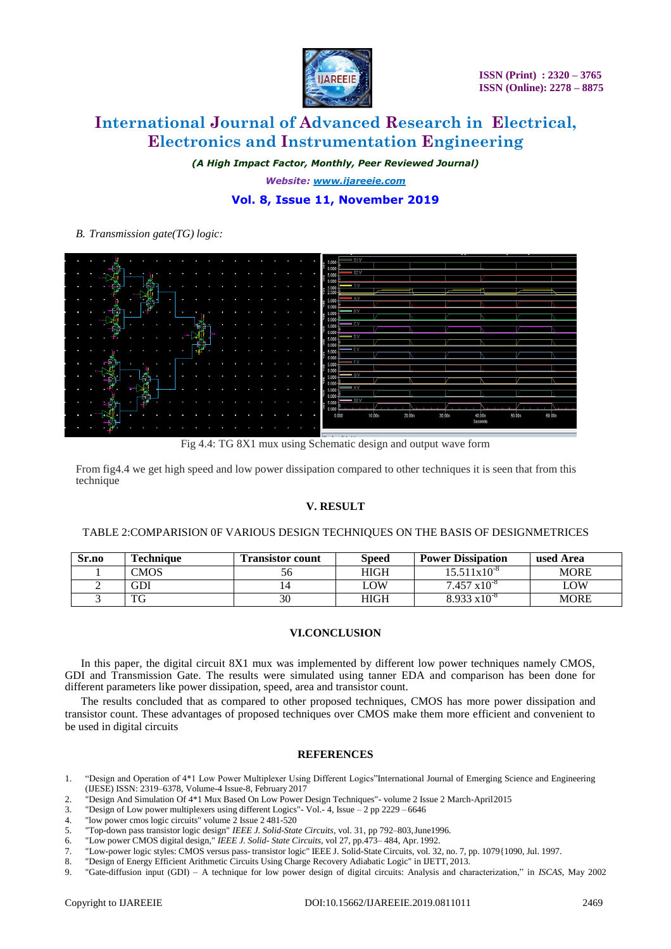

*(A High Impact Factor, Monthly, Peer Reviewed Journal)*

*Website: [www.ijareeie.com](http://www.ijareeie.com/)*

### **Vol. 8, Issue 11, November 2019**

*B. Transmission gate(TG) logic:*

| $\sim$               | a.        | ٠                  | ٠           |                |           |        |              |     |   |  |  |   |                     |
|----------------------|-----------|--------------------|-------------|----------------|-----------|--------|--------------|-----|---|--|--|---|---------------------|
|                      |           | m                  |             |                |           |        |              |     |   |  |  |   | $\frac{4}{3}$ 5.000 |
| $\sim$               | $\bullet$ | W.<br>ł            | ٠           | $\bullet$      |           |        |              |     |   |  |  |   | ٠                   |
|                      |           | i                  |             |                |           |        |              |     |   |  |  |   |                     |
| ÷                    | ٠         | ш                  |             |                |           |        |              |     |   |  |  |   | ٠                   |
|                      |           |                    |             |                |           |        |              |     |   |  |  |   |                     |
| ÷                    | ٠         | ×                  | $\sim$<br>٠ |                |           | a.     | $\sim$       |     |   |  |  | × |                     |
|                      |           |                    |             |                |           |        |              |     |   |  |  |   |                     |
|                      | п         | T.                 | ь           | <b>Algebra</b> | <b>SP</b> | a pr   | $\sim$       |     |   |  |  |   | ×                   |
|                      |           |                    |             |                |           |        |              |     |   |  |  |   |                     |
| $\bullet$            | ÷         | e e                | ٠           |                |           |        |              |     |   |  |  |   | ٠                   |
|                      |           | Ð                  |             |                |           |        |              |     |   |  |  |   |                     |
| ÷                    |           | . .<br>٠           |             |                |           |        | $-$<br>٠     | 422 | ٠ |  |  |   | ٠                   |
|                      |           |                    |             |                |           |        |              |     |   |  |  |   |                     |
| ÷                    | ı         | ٠                  |             |                |           |        |              | 椰   | n |  |  |   |                     |
|                      |           |                    |             |                |           |        |              |     |   |  |  |   |                     |
| $\ddot{\phantom{1}}$ | ٠         | $-8$ $\mathbf{h}$  |             |                |           | п      | $\mathbf{A}$ |     |   |  |  |   | л                   |
|                      |           |                    |             |                |           |        |              |     |   |  |  |   |                     |
| $\sim$               | ٠         | ъ.                 |             |                |           | $\sim$ | $\sim$       |     |   |  |  | ю | <b>Sec</b>          |
|                      |           | Õ.                 |             | Ĝ              |           |        |              |     |   |  |  |   |                     |
| $\sim$               | ٠         | $\rightarrow$<br>٠ | t           |                |           |        |              |     |   |  |  | × |                     |
|                      |           |                    |             |                |           |        |              |     |   |  |  |   |                     |
| $\bullet$            | ł.        |                    | ı           | Ð              |           |        |              |     |   |  |  |   | ٠                   |
|                      |           | <b>Faith</b>       |             |                |           |        |              |     |   |  |  |   |                     |
| $\bullet$            | ٠         | - 23<br>. .        |             | ÷              |           |        |              |     |   |  |  | ÷ | o.                  |
|                      |           |                    |             |                |           |        |              |     |   |  |  |   |                     |
| $\bullet$            | ı         | -90                |             |                |           |        |              |     |   |  |  |   |                     |
|                      |           |                    |             |                |           |        |              |     |   |  |  |   |                     |

Fig 4.4: TG 8X1 mux using Schematic design and output wave form

From fig4.4 we get high speed and low power dissipation compared to other techniques it is seen that from this technique

#### **V. RESULT**

#### TABLE 2:COMPARISION 0F VARIOUS DESIGN TECHNIQUES ON THE BASIS OF DESIGNMETRICES

| Sr.no | <b>Technique</b> | <b>Transistor count</b> | Speed       | <b>Power Dissipation</b> | used Area   |
|-------|------------------|-------------------------|-------------|--------------------------|-------------|
|       | <b>CMOS</b>      |                         | HIGH        | $15.511 \times 10^{-8}$  | <b>MORE</b> |
|       | GDI              |                         | LOW         | $7.457 \times 10^{-8}$   | LOW         |
|       | TG               | 30                      | <b>HIGH</b> | $8.933 \times 10^{-8}$   | <b>MORE</b> |

#### **VI.CONCLUSION**

In this paper, the digital circuit 8X1 mux was implemented by different low power techniques namely CMOS, GDI and Transmission Gate. The results were simulated using tanner EDA and comparison has been done for different parameters like power dissipation, speed, area and transistor count.

The results concluded that as compared to other proposed techniques, CMOS has more power dissipation and transistor count. These advantages of proposed techniques over CMOS make them more efficient and convenient to be used in digital circuits

#### **REFERENCES**

- 1. "Design and Operation of 4\*1 Low Power Multiplexer Using Different Logics"International Journal of Emerging Science and Engineering (IJESE) ISSN: 2319–6378, Volume-4 Issue-8, February 2017
- 2. "Design And Simulation Of 4\*1 Mux Based On Low Power Design Techniques"- volume 2 Issue 2 March-April2015
- 3. "Design of Low power multiplexers using different Logics"- Vol.- 4, Issue 2 pp 2229 6646
- 4. "low power cmos logic circuits" volume 2 Issue 2 481-520
- 5. "Top-down pass transistor logic design" *IEEE J. Solid-State Circuits*, vol. 31, pp 792–803,June1996.
- 6. "Low power CMOS digital design," *IEEE J. Solid- State Circuits*, vol 27, pp.473– 484, Apr. 1992.
- 7. "Low-power logic styles: CMOS versus pass- transistor logic" IEEE J. Solid-State Circuits, vol. 32, no. 7, pp. 1079{1090, Jul. 1997.
- 8. "Design of Energy Efficient Arithmetic Circuits Using Charge Recovery Adiabatic Logic" in IJETT, 2013.
- 9. "Gate-diffusion input (GDI) A technique for low power design of digital circuits: Analysis and characterization," in *ISCAS*, May 2002